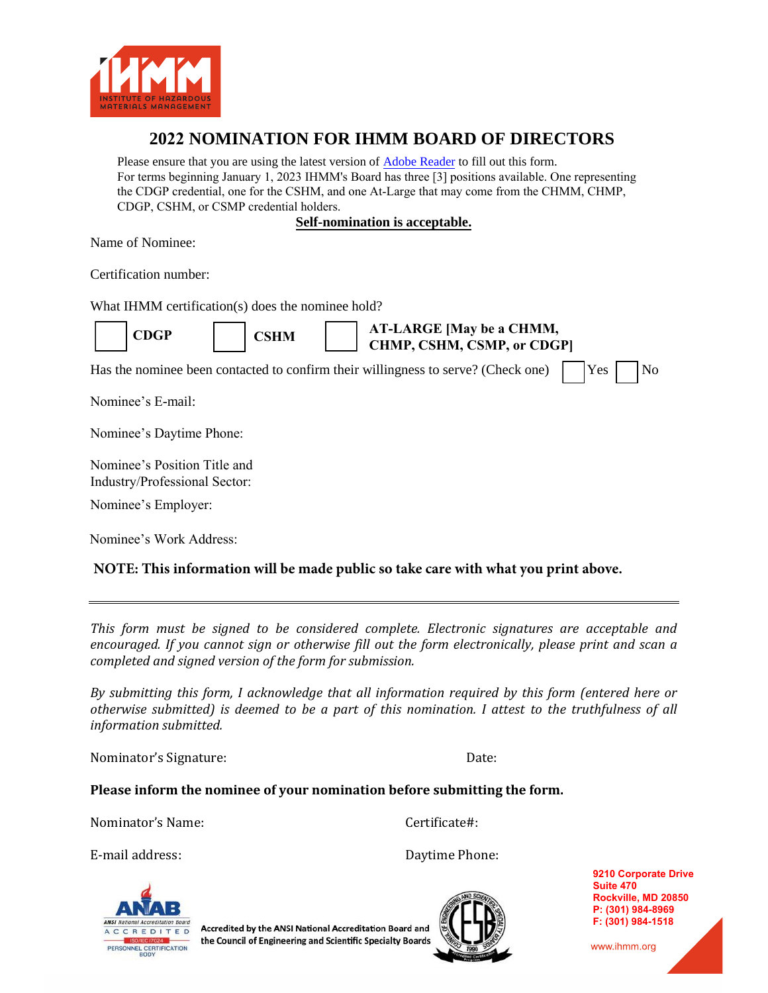

## **2022 NOMINATION FOR IHMM BOARD OF DIRECTORS**

Please ensure that you are using the latest version of Adobe Reader to fill out this form. For terms beginning January 1, 2023 IHMM's Board has three [3] positions available. One representing [the CDGP credential, one for the CSHM, and one At-Large that may come from](https://get.adobe.com/reader/) the CHMM, CHMP, CDGP, CSHM, or CSMP credential holders.

**Self-nomination is acceptable.**

Name of Nominee:

Certification number:

What IHMM certification(s) does the nominee hold?

|  | CDGP |
|--|------|
|--|------|

**CDGP CSHM**

**AT-LARGE [May be a CHMM, CHMP, CSHM, CSMP, or CDGP]**

Has the nominee been contacted to confirm their willingness to serve? (Check one) Yes No

Nominee's E-mail:

Nominee's Daytime Phone:

Nominee's Position Title and Industry/Professional Sector:

Nominee's Employer:

Nominee's Work Address:

## **NOTE: This information will be made public so take care with what you print above.**

*This form must be signed to be considered complete. Electronic signatures are acceptable and encouraged. If you cannot sign or otherwise fill out the form electronically, please print and scan a completed and signed version of the form for submission.* 

*By submitting this form, I acknowledge that all information required by this form (entered here or otherwise submitted) is deemed to be a part of this nomination. I attest to the truthfulness of all information submitted.* 

Nominator's Signature: Date:

## **Please inform the nominee of your nomination before submitting the form.**

Nominator's Name:

Certificate#:

E-mail address:

Daytime Phone:



Accredited by the ANSI National Accreditation Board and the Council of Engineering and Scientific Specialty Boards



**9210 Corporate Drive Suite 470 Rockville, MD 20850 P: (301) 984-8969 F: (301) 984-1518**

www.ihmm.org